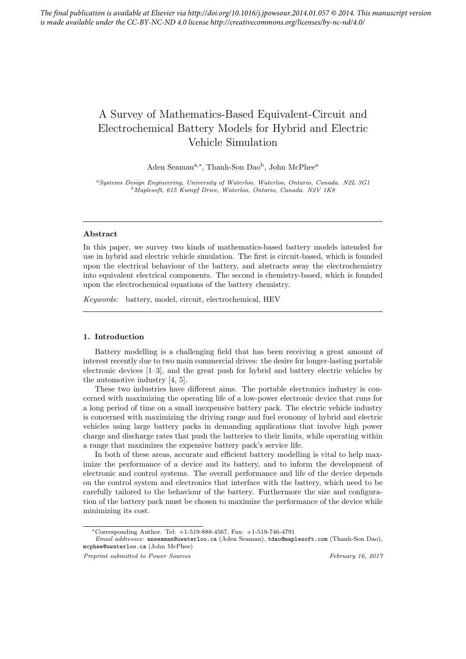# A Survey of Mathematics-Based Equivalent-Circuit and Electrochemical Battery Models for Hybrid and Electric Vehicle Simulation

Aden Seaman<sup>a,∗</sup>, Thanh-Son Dao<sup>b</sup>, John McPhee<sup>a</sup>

<sup>a</sup>Systems Design Engineering, University of Waterloo, Waterloo, Ontario, Canada. N2L 3G1 <sup>b</sup>Maplesoft, 615 Kumpf Drive, Waterloo, Ontario, Canada. N2V 1K8

# Abstract

In this paper, we survey two kinds of mathematics-based battery models intended for use in hybrid and electric vehicle simulation. The first is circuit-based, which is founded upon the electrical behaviour of the battery, and abstracts away the electrochemistry into equivalent electrical components. The second is chemistry-based, which is founded upon the electrochemical equations of the battery chemistry.

Keywords: battery, model, circuit, electrochemical, HEV

#### 1. Introduction

Battery modelling is a challenging field that has been receiving a great amount of interest recently due to two main commercial drives: the desire for longer-lasting portable electronic devices [1–3], and the great push for hybrid and battery electric vehicles by the automotive industry [4, 5].

These two industries have different aims. The portable electronics industry is concerned with maximizing the operating life of a low-power electronic device that runs for a long period of time on a small inexpensive battery pack. The electric vehicle industry is concerned with maximizing the driving range and fuel economy of hybrid and electric vehicles using large battery packs in demanding applications that involve high power charge and discharge rates that push the batteries to their limits, while operating within a range that maximizes the expensive battery pack's service life.

In both of these areas, accurate and efficient battery modelling is vital to help maximize the performance of a device and its battery, and to inform the development of electronic and control systems. The overall performance and life of the device depends on the control system and electronics that interface with the battery, which need to be carefully tailored to the behaviour of the battery. Furthermore the size and configuration of the battery pack must be chosen to maximize the performance of the device while minimizing its cost.

<sup>∗</sup>Corresponding Author. Tel: +1-519-888-4567, Fax: +1-519-746-4791

Email addresses: anseaman@uwaterloo.ca (Aden Seaman), tdao@maplesoft.com (Thanh-Son Dao), mcphee@uwaterloo.ca (John McPhee)

Preprint submitted to Power Sources Tebruary 16, 2017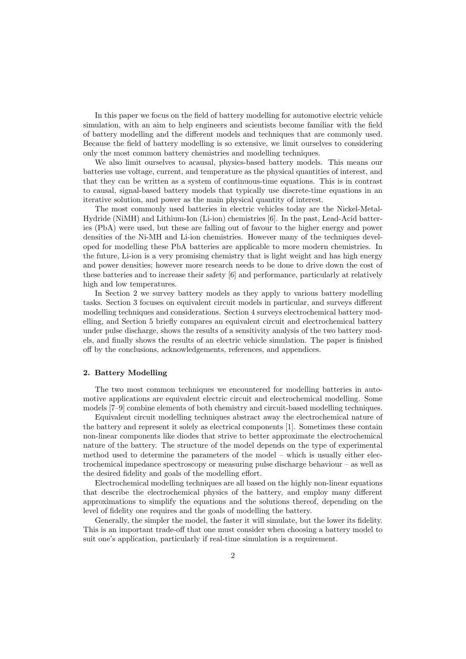In this paper we focus on the field of battery modelling for automotive electric vehicle simulation, with an aim to help engineers and scientists become familiar with the field of battery modelling and the different models and techniques that are commonly used. Because the field of battery modelling is so extensive, we limit ourselves to considering only the most common battery chemistries and modelling techniques.

We also limit ourselves to acausal, physics-based battery models. This means our batteries use voltage, current, and temperature as the physical quantities of interest, and that they can be written as a system of continuous-time equations. This is in contrast to causal, signal-based battery models that typically use discrete-time equations in an iterative solution, and power as the main physical quantity of interest.

The most commonly used batteries in electric vehicles today are the Nickel-Metal-Hydride (NiMH) and Lithium-Ion (Li-ion) chemistries [6]. In the past, Lead-Acid batteries (PbA) were used, but these are falling out of favour to the higher energy and power densities of the Ni-MH and Li-ion chemistries. However many of the techniques developed for modelling these PbA batteries are applicable to more modern chemistries. In the future, Li-ion is a very promising chemistry that is light weight and has high energy and power densities; however more research needs to be done to drive down the cost of these batteries and to increase their safety [6] and performance, particularly at relatively high and low temperatures.

In Section 2 we survey battery models as they apply to various battery modelling tasks. Section 3 focuses on equivalent circuit models in particular, and surveys different modelling techniques and considerations. Section 4 surveys electrochemical battery modelling, and Section 5 briefly compares an equivalent circuit and electrochemical battery under pulse discharge, shows the results of a sensitivity analysis of the two battery models, and finally shows the results of an electric vehicle simulation. The paper is finished off by the conclusions, acknowledgements, references, and appendices.

# 2. Battery Modelling

The two most common techniques we encountered for modelling batteries in automotive applications are equivalent electric circuit and electrochemical modelling. Some models [7–9] combine elements of both chemistry and circuit-based modelling techniques.

Equivalent circuit modelling techniques abstract away the electrochemical nature of the battery and represent it solely as electrical components [1]. Sometimes these contain non-linear components like diodes that strive to better approximate the electrochemical nature of the battery. The structure of the model depends on the type of experimental method used to determine the parameters of the model – which is usually either electrochemical impedance spectroscopy or measuring pulse discharge behaviour – as well as the desired fidelity and goals of the modelling effort.

Electrochemical modelling techniques are all based on the highly non-linear equations that describe the electrochemical physics of the battery, and employ many different approximations to simplify the equations and the solutions thereof, depending on the level of fidelity one requires and the goals of modelling the battery.

Generally, the simpler the model, the faster it will simulate, but the lower its fidelity. This is an important trade-off that one must consider when choosing a battery model to suit one's application, particularly if real-time simulation is a requirement.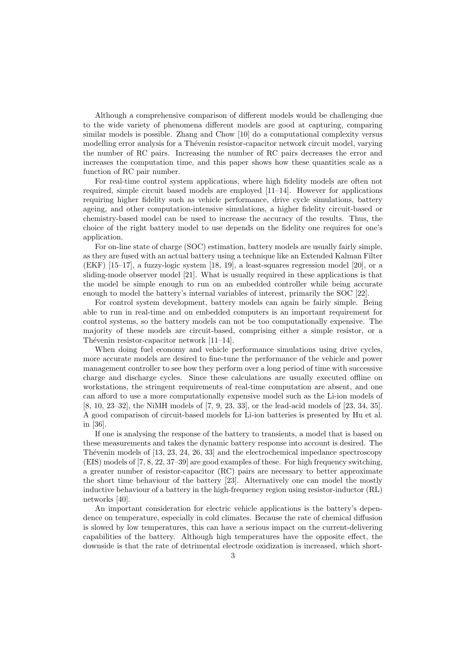Although a comprehensive comparison of different models would be challenging due to the wide variety of phenomena different models are good at capturing, comparing similar models is possible. Zhang and Chow [10] do a computational complexity versus modelling error analysis for a Thévenin resistor-capacitor network circuit model, varying the number of RC pairs. Increasing the number of RC pairs decreases the error and increases the computation time, and this paper shows how these quantities scale as a function of RC pair number.

For real-time control system applications, where high fidelity models are often not required, simple circuit based models are employed [11–14]. However for applications requiring higher fidelity such as vehicle performance, drive cycle simulations, battery ageing, and other computation-intensive simulations, a higher fidelity circuit-based or chemistry-based model can be used to increase the accuracy of the results. Thus, the choice of the right battery model to use depends on the fidelity one requires for one's application.

For on-line state of charge (SOC) estimation, battery models are usually fairly simple, as they are fused with an actual battery using a technique like an Extended Kalman Filter (EKF) [15–17], a fuzzy-logic system [18, 19], a least-squares regression model [20], or a sliding-mode observer model [21]. What is usually required in these applications is that the model be simple enough to run on an embedded controller while being accurate enough to model the battery's internal variables of interest, primarily the SOC [22].

For control system development, battery models can again be fairly simple. Being able to run in real-time and on embedded computers is an important requirement for control systems, so the battery models can not be too computationally expensive. The majority of these models are circuit-based, comprising either a simple resistor, or a Thévenin resistor-capacitor network  $[11-14]$ .

When doing fuel economy and vehicle performance simulations using drive cycles, more accurate models are desired to fine-tune the performance of the vehicle and power management controller to see how they perform over a long period of time with successive charge and discharge cycles. Since these calculations are usually executed offline on workstations, the stringent requirements of real-time computation are absent, and one can afford to use a more computationally expensive model such as the Li-ion models of [8, 10, 23–32], the NiMH models of [7, 9, 23, 33], or the lead-acid models of [23, 34, 35]. A good comparison of circuit-based models for Li-ion batteries is presented by Hu et al. in [36].

If one is analysing the response of the battery to transients, a model that is based on these measurements and takes the dynamic battery response into account is desired. The Thévenin models of  $[13, 23, 24, 26, 33]$  and the electrochemical impedance spectroscopy (EIS) models of [7, 8, 22, 37–39] are good examples of these. For high frequency switching, a greater number of resistor-capacitor (RC) pairs are necessary to better approximate the short time behaviour of the battery [23]. Alternatively one can model the mostly inductive behaviour of a battery in the high-frequency region using resistor-inductor (RL) networks [40].

An important consideration for electric vehicle applications is the battery's dependence on temperature, especially in cold climates. Because the rate of chemical diffusion is slowed by low temperatures, this can have a serious impact on the current-delivering capabilities of the battery. Although high temperatures have the opposite effect, the downside is that the rate of detrimental electrode oxidization is increased, which short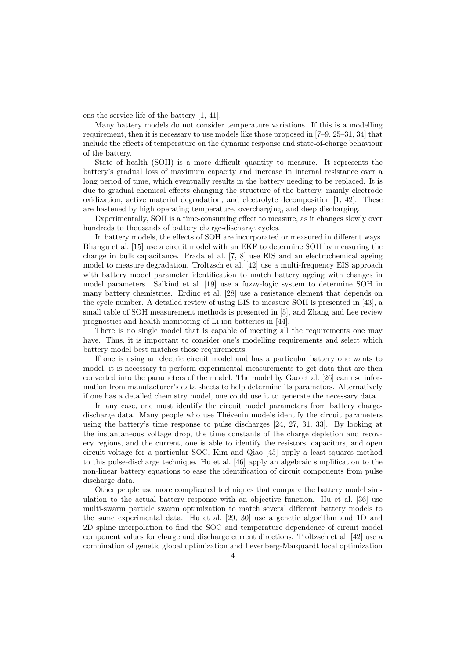ens the service life of the battery [1, 41].

Many battery models do not consider temperature variations. If this is a modelling requirement, then it is necessary to use models like those proposed in [7–9, 25–31, 34] that include the effects of temperature on the dynamic response and state-of-charge behaviour of the battery.

State of health (SOH) is a more difficult quantity to measure. It represents the battery's gradual loss of maximum capacity and increase in internal resistance over a long period of time, which eventually results in the battery needing to be replaced. It is due to gradual chemical effects changing the structure of the battery, mainly electrode oxidization, active material degradation, and electrolyte decomposition [1, 42]. These are hastened by high operating temperature, overcharging, and deep discharging.

Experimentally, SOH is a time-consuming effect to measure, as it changes slowly over hundreds to thousands of battery charge-discharge cycles.

In battery models, the effects of SOH are incorporated or measured in different ways. Bhangu et al. [15] use a circuit model with an EKF to determine SOH by measuring the change in bulk capacitance. Prada et al. [7, 8] use EIS and an electrochemical ageing model to measure degradation. Troltzsch et al. [42] use a multi-frequency EIS approach with battery model parameter identification to match battery ageing with changes in model parameters. Salkind et al. [19] use a fuzzy-logic system to determine SOH in many battery chemistries. Erdinc et al. [28] use a resistance element that depends on the cycle number. A detailed review of using EIS to measure SOH is presented in [43], a small table of SOH measurement methods is presented in [5], and Zhang and Lee review prognostics and health monitoring of Li-ion batteries in [44].

There is no single model that is capable of meeting all the requirements one may have. Thus, it is important to consider one's modelling requirements and select which battery model best matches those requirements.

If one is using an electric circuit model and has a particular battery one wants to model, it is necessary to perform experimental measurements to get data that are then converted into the parameters of the model. The model by Gao et al. [26] can use information from manufacturer's data sheets to help determine its parameters. Alternatively if one has a detailed chemistry model, one could use it to generate the necessary data.

In any case, one must identify the circuit model parameters from battery chargedischarge data. Many people who use Thévenin models identify the circuit parameters using the battery's time response to pulse discharges [24, 27, 31, 33]. By looking at the instantaneous voltage drop, the time constants of the charge depletion and recovery regions, and the current, one is able to identify the resistors, capacitors, and open circuit voltage for a particular SOC. Kim and Qiao [45] apply a least-squares method to this pulse-discharge technique. Hu et al. [46] apply an algebraic simplification to the non-linear battery equations to ease the identification of circuit components from pulse discharge data.

Other people use more complicated techniques that compare the battery model simulation to the actual battery response with an objective function. Hu et al. [36] use multi-swarm particle swarm optimization to match several different battery models to the same experimental data. Hu et al. [29, 30] use a genetic algorithm and 1D and 2D spline interpolation to find the SOC and temperature dependence of circuit model component values for charge and discharge current directions. Troltzsch et al. [42] use a combination of genetic global optimization and Levenberg-Marquardt local optimization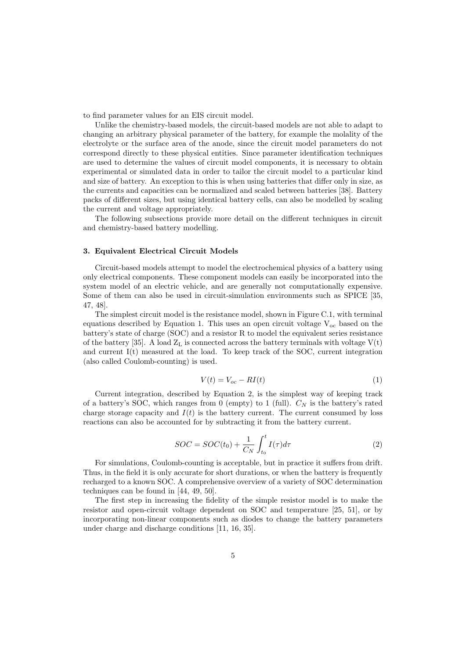to find parameter values for an EIS circuit model.

Unlike the chemistry-based models, the circuit-based models are not able to adapt to changing an arbitrary physical parameter of the battery, for example the molality of the electrolyte or the surface area of the anode, since the circuit model parameters do not correspond directly to these physical entities. Since parameter identification techniques are used to determine the values of circuit model components, it is necessary to obtain experimental or simulated data in order to tailor the circuit model to a particular kind and size of battery. An exception to this is when using batteries that differ only in size, as the currents and capacities can be normalized and scaled between batteries [38]. Battery packs of different sizes, but using identical battery cells, can also be modelled by scaling the current and voltage appropriately.

The following subsections provide more detail on the different techniques in circuit and chemistry-based battery modelling.

# 3. Equivalent Electrical Circuit Models

Circuit-based models attempt to model the electrochemical physics of a battery using only electrical components. These component models can easily be incorporated into the system model of an electric vehicle, and are generally not computationally expensive. Some of them can also be used in circuit-simulation environments such as SPICE [35, 47, 48].

The simplest circuit model is the resistance model, shown in Figure C.1, with terminal equations described by Equation 1. This uses an open circuit voltage  $V_{\rm oc}$  based on the battery's state of charge (SOC) and a resistor R to model the equivalent series resistance of the battery [35]. A load  $Z_L$  is connected across the battery terminals with voltage  $V(t)$ and current  $I(t)$  measured at the load. To keep track of the SOC, current integration (also called Coulomb-counting) is used.

$$
V(t) = V_{oc} - RI(t)
$$
\n<sup>(1)</sup>

Current integration, described by Equation 2, is the simplest way of keeping track of a battery's SOC, which ranges from 0 (empty) to 1 (full).  $C<sub>N</sub>$  is the battery's rated charge storage capacity and  $I(t)$  is the battery current. The current consumed by loss reactions can also be accounted for by subtracting it from the battery current.

$$
SOC = SOC(t_0) + \frac{1}{C_N} \int_{t_0}^{t} I(\tau) d\tau
$$
\n(2)

For simulations, Coulomb-counting is acceptable, but in practice it suffers from drift. Thus, in the field it is only accurate for short durations, or when the battery is frequently recharged to a known SOC. A comprehensive overview of a variety of SOC determination techniques can be found in [44, 49, 50].

The first step in increasing the fidelity of the simple resistor model is to make the resistor and open-circuit voltage dependent on SOC and temperature [25, 51], or by incorporating non-linear components such as diodes to change the battery parameters under charge and discharge conditions [11, 16, 35].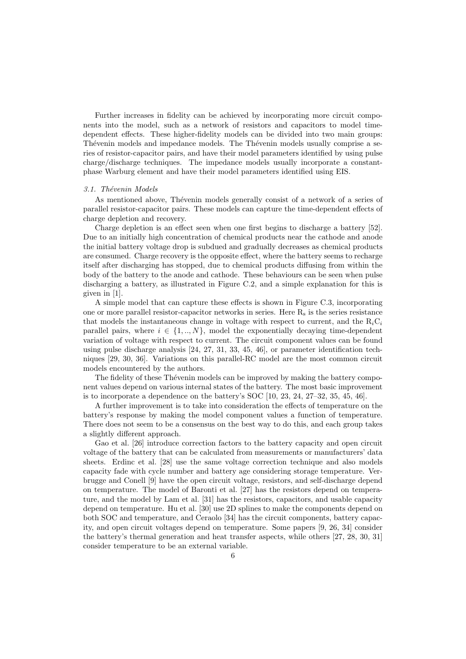Further increases in fidelity can be achieved by incorporating more circuit components into the model, such as a network of resistors and capacitors to model timedependent effects. These higher-fidelity models can be divided into two main groups: Thévenin models and impedance models. The Thévenin models usually comprise a series of resistor-capacitor pairs, and have their model parameters identified by using pulse charge/discharge techniques. The impedance models usually incorporate a constantphase Warburg element and have their model parameters identified using EIS.

#### 3.1. Thévenin Models

As mentioned above, Thévenin models generally consist of a network of a series of parallel resistor-capacitor pairs. These models can capture the time-dependent effects of charge depletion and recovery.

Charge depletion is an effect seen when one first begins to discharge a battery [52]. Due to an initially high concentration of chemical products near the cathode and anode the initial battery voltage drop is subdued and gradually decreases as chemical products are consumed. Charge recovery is the opposite effect, where the battery seems to recharge itself after discharging has stopped, due to chemical products diffusing from within the body of the battery to the anode and cathode. These behaviours can be seen when pulse discharging a battery, as illustrated in Figure C.2, and a simple explanation for this is given in [1].

A simple model that can capture these effects is shown in Figure C.3, incorporating one or more parallel resistor-capacitor networks in series. Here  $R_s$  is the series resistance that models the instantaneous change in voltage with respect to current, and the  $R_iC_i$ parallel pairs, where  $i \in \{1, ..., N\}$ , model the exponentially decaying time-dependent variation of voltage with respect to current. The circuit component values can be found using pulse discharge analysis [24, 27, 31, 33, 45, 46], or parameter identification techniques [29, 30, 36]. Variations on this parallel-RC model are the most common circuit models encountered by the authors.

The fidelity of these Thévenin models can be improved by making the battery component values depend on various internal states of the battery. The most basic improvement is to incorporate a dependence on the battery's SOC [10, 23, 24, 27–32, 35, 45, 46].

A further improvement is to take into consideration the effects of temperature on the battery's response by making the model component values a function of temperature. There does not seem to be a consensus on the best way to do this, and each group takes a slightly different approach.

Gao et al. [26] introduce correction factors to the battery capacity and open circuit voltage of the battery that can be calculated from measurements or manufacturers' data sheets. Erdinc et al. [28] use the same voltage correction technique and also models capacity fade with cycle number and battery age considering storage temperature. Verbrugge and Conell [9] have the open circuit voltage, resistors, and self-discharge depend on temperature. The model of Baronti et al. [27] has the resistors depend on temperature, and the model by Lam et al. [31] has the resistors, capacitors, and usable capacity depend on temperature. Hu et al. [30] use 2D splines to make the components depend on both SOC and temperature, and Ceraolo [34] has the circuit components, battery capacity, and open circuit voltages depend on temperature. Some papers [9, 26, 34] consider the battery's thermal generation and heat transfer aspects, while others [27, 28, 30, 31] consider temperature to be an external variable.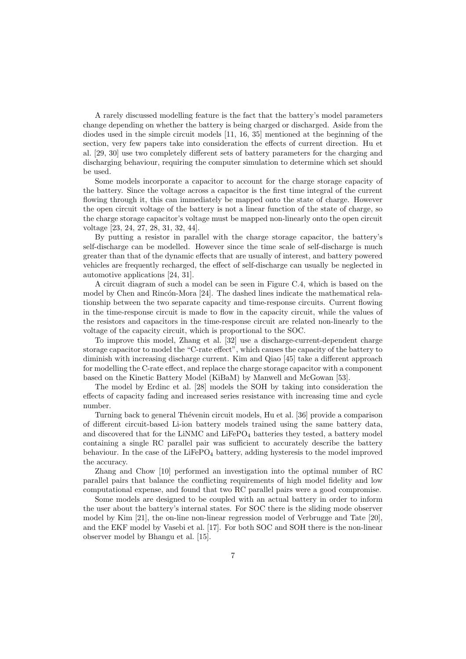A rarely discussed modelling feature is the fact that the battery's model parameters change depending on whether the battery is being charged or discharged. Aside from the diodes used in the simple circuit models [11, 16, 35] mentioned at the beginning of the section, very few papers take into consideration the effects of current direction. Hu et al. [29, 30] use two completely different sets of battery parameters for the charging and discharging behaviour, requiring the computer simulation to determine which set should be used.

Some models incorporate a capacitor to account for the charge storage capacity of the battery. Since the voltage across a capacitor is the first time integral of the current flowing through it, this can immediately be mapped onto the state of charge. However the open circuit voltage of the battery is not a linear function of the state of charge, so the charge storage capacitor's voltage must be mapped non-linearly onto the open circuit voltage [23, 24, 27, 28, 31, 32, 44].

By putting a resistor in parallel with the charge storage capacitor, the battery's self-discharge can be modelled. However since the time scale of self-discharge is much greater than that of the dynamic effects that are usually of interest, and battery powered vehicles are frequently recharged, the effect of self-discharge can usually be neglected in automotive applications [24, 31].

A circuit diagram of such a model can be seen in Figure C.4, which is based on the model by Chen and Rincón-Mora [24]. The dashed lines indicate the mathematical relationship between the two separate capacity and time-response circuits. Current flowing in the time-response circuit is made to flow in the capacity circuit, while the values of the resistors and capacitors in the time-response circuit are related non-linearly to the voltage of the capacity circuit, which is proportional to the SOC.

To improve this model, Zhang et al. [32] use a discharge-current-dependent charge storage capacitor to model the "C-rate effect", which causes the capacity of the battery to diminish with increasing discharge current. Kim and Qiao [45] take a different approach for modelling the C-rate effect, and replace the charge storage capacitor with a component based on the Kinetic Battery Model (KiBaM) by Manwell and McGowan [53].

The model by Erdinc et al. [28] models the SOH by taking into consideration the effects of capacity fading and increased series resistance with increasing time and cycle number.

Turning back to general Thévenin circuit models, Hu et al. [36] provide a comparison of different circuit-based Li-ion battery models trained using the same battery data, and discovered that for the LiNMC and  $LiFePO<sub>4</sub>$  batteries they tested, a battery model containing a single RC parallel pair was sufficient to accurately describe the battery behaviour. In the case of the LiFeP $O_4$  battery, adding hysteresis to the model improved the accuracy.

Zhang and Chow [10] performed an investigation into the optimal number of RC parallel pairs that balance the conflicting requirements of high model fidelity and low computational expense, and found that two RC parallel pairs were a good compromise.

Some models are designed to be coupled with an actual battery in order to inform the user about the battery's internal states. For SOC there is the sliding mode observer model by Kim [21], the on-line non-linear regression model of Verbrugge and Tate [20], and the EKF model by Vasebi et al. [17]. For both SOC and SOH there is the non-linear observer model by Bhangu et al. [15].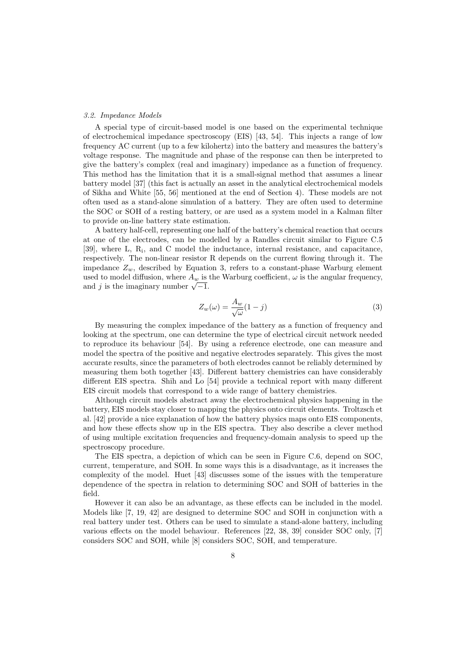#### 3.2. Impedance Models

A special type of circuit-based model is one based on the experimental technique of electrochemical impedance spectroscopy (EIS) [43, 54]. This injects a range of low frequency AC current (up to a few kilohertz) into the battery and measures the battery's voltage response. The magnitude and phase of the response can then be interpreted to give the battery's complex (real and imaginary) impedance as a function of frequency. This method has the limitation that it is a small-signal method that assumes a linear battery model [37] (this fact is actually an asset in the analytical electrochemical models of Sikha and White [55, 56] mentioned at the end of Section 4). These models are not often used as a stand-alone simulation of a battery. They are often used to determine the SOC or SOH of a resting battery, or are used as a system model in a Kalman filter to provide on-line battery state estimation.

A battery half-cell, representing one half of the battery's chemical reaction that occurs at one of the electrodes, can be modelled by a Randles circuit similar to Figure C.5 [39], where L, R<sub>i</sub>, and C model the inductance, internal resistance, and capacitance, respectively. The non-linear resistor R depends on the current flowing through it. The impedance  $Z_w$ , described by Equation 3, refers to a constant-phase Warburg element used to model diffusion, where  $A_w$  is the Warburg coefficient,  $\omega$  is the angular frequency, used to model diffusion, where  $A_w$  is<br>and j is the imaginary number  $\sqrt{-1}$ .

$$
Z_w(\omega) = \frac{A_w}{\sqrt{\omega}} (1 - j)
$$
\n(3)

By measuring the complex impedance of the battery as a function of frequency and looking at the spectrum, one can determine the type of electrical circuit network needed to reproduce its behaviour [54]. By using a reference electrode, one can measure and model the spectra of the positive and negative electrodes separately. This gives the most accurate results, since the parameters of both electrodes cannot be reliably determined by measuring them both together [43]. Different battery chemistries can have considerably different EIS spectra. Shih and Lo [54] provide a technical report with many different EIS circuit models that correspond to a wide range of battery chemistries.

Although circuit models abstract away the electrochemical physics happening in the battery, EIS models stay closer to mapping the physics onto circuit elements. Troltzsch et al. [42] provide a nice explanation of how the battery physics maps onto EIS components, and how these effects show up in the EIS spectra. They also describe a clever method of using multiple excitation frequencies and frequency-domain analysis to speed up the spectroscopy procedure.

The EIS spectra, a depiction of which can be seen in Figure C.6, depend on SOC, current, temperature, and SOH. In some ways this is a disadvantage, as it increases the complexity of the model. Huet [43] discusses some of the issues with the temperature dependence of the spectra in relation to determining SOC and SOH of batteries in the field.

However it can also be an advantage, as these effects can be included in the model. Models like [7, 19, 42] are designed to determine SOC and SOH in conjunction with a real battery under test. Others can be used to simulate a stand-alone battery, including various effects on the model behaviour. References [22, 38, 39] consider SOC only, [7] considers SOC and SOH, while [8] considers SOC, SOH, and temperature.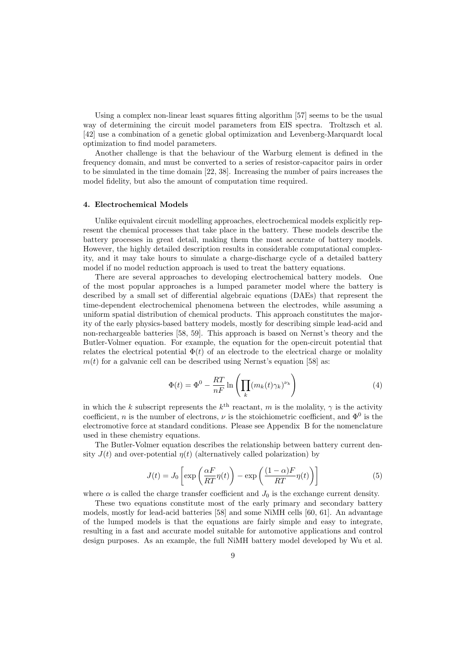Using a complex non-linear least squares fitting algorithm [57] seems to be the usual way of determining the circuit model parameters from EIS spectra. Troltzsch et al. [42] use a combination of a genetic global optimization and Levenberg-Marquardt local optimization to find model parameters.

Another challenge is that the behaviour of the Warburg element is defined in the frequency domain, and must be converted to a series of resistor-capacitor pairs in order to be simulated in the time domain [22, 38]. Increasing the number of pairs increases the model fidelity, but also the amount of computation time required.

#### 4. Electrochemical Models

Unlike equivalent circuit modelling approaches, electrochemical models explicitly represent the chemical processes that take place in the battery. These models describe the battery processes in great detail, making them the most accurate of battery models. However, the highly detailed description results in considerable computational complexity, and it may take hours to simulate a charge-discharge cycle of a detailed battery model if no model reduction approach is used to treat the battery equations.

There are several approaches to developing electrochemical battery models. One of the most popular approaches is a lumped parameter model where the battery is described by a small set of differential algebraic equations (DAEs) that represent the time-dependent electrochemical phenomena between the electrodes, while assuming a uniform spatial distribution of chemical products. This approach constitutes the majority of the early physics-based battery models, mostly for describing simple lead-acid and non-rechargeable batteries [58, 59]. This approach is based on Nernst's theory and the Butler-Volmer equation. For example, the equation for the open-circuit potential that relates the electrical potential  $\Phi(t)$  of an electrode to the electrical charge or molality  $m(t)$  for a galvanic cell can be described using Nernst's equation [58] as:

$$
\Phi(t) = \Phi^0 - \frac{RT}{nF} \ln \left( \prod_k (m_k(t)\gamma_k)^{\nu_k} \right)
$$
\n(4)

in which the k subscript represents the  $k^{\text{th}}$  reactant, m is the molality,  $\gamma$  is the activity coefficient, n is the number of electrons,  $\nu$  is the stoichiometric coefficient, and  $\Phi^0$  is the electromotive force at standard conditions. Please see Appendix B for the nomenclature used in these chemistry equations.

The Butler-Volmer equation describes the relationship between battery current density  $J(t)$  and over-potential  $\eta(t)$  (alternatively called polarization) by

$$
J(t) = J_0 \left[ \exp\left(\frac{\alpha F}{RT} \eta(t)\right) - \exp\left(\frac{(1-\alpha)F}{RT} \eta(t)\right) \right]
$$
 (5)

where  $\alpha$  is called the charge transfer coefficient and  $J_0$  is the exchange current density.

These two equations constitute most of the early primary and secondary battery models, mostly for lead-acid batteries [58] and some NiMH cells [60, 61]. An advantage of the lumped models is that the equations are fairly simple and easy to integrate, resulting in a fast and accurate model suitable for automotive applications and control design purposes. As an example, the full NiMH battery model developed by Wu et al.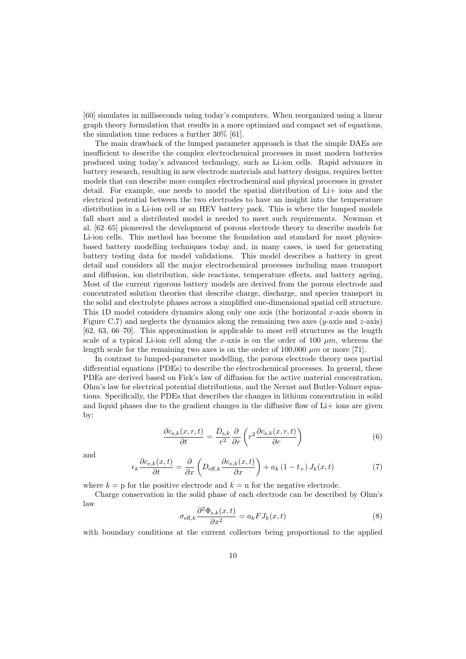[60] simulates in milliseconds using today's computers. When reorganized using a linear graph theory formulation that results in a more optimized and compact set of equations, the simulation time reduces a further 30% [61].

The main drawback of the lumped parameter approach is that the simple DAEs are insufficient to describe the complex electrochemical processes in most modern batteries produced using today's advanced technology, such as Li-ion cells. Rapid advances in battery research, resulting in new electrode materials and battery designs, requires better models that can describe more complex electrochemical and physical processes in greater detail. For example, one needs to model the spatial distribution of Li+ ions and the electrical potential between the two electrodes to have an insight into the temperature distribution in a Li-ion cell or an HEV battery pack. This is where the lumped models fall short and a distributed model is needed to meet such requirements. Newman et al. [62–65] pioneered the development of porous electrode theory to describe models for Li-ion cells. This method has become the foundation and standard for most physicsbased battery modelling techniques today and, in many cases, is used for generating battery testing data for model validations. This model describes a battery in great detail and considers all the major electrochemical processes including mass transport and diffusion, ion distribution, side reactions, temperature effects, and battery ageing. Most of the current rigorous battery models are derived from the porous electrode and concentrated solution theories that describe charge, discharge, and species transport in the solid and electrolyte phases across a simplified one-dimensional spatial cell structure. This 1D model considers dynamics along only one axis (the horizontal x-axis shown in Figure C.7) and neglects the dynamics along the remaining two axes (y-axis and z-axis) [62, 63, 66–70]. This approximation is applicable to most cell structures as the length scale of a typical Li-ion cell along the x-axis is on the order of 100  $\mu$ m, whereas the length scale for the remaining two axes is on the order of  $100,000 \mu m$  or more [71].

In contrast to lumped-parameter modelling, the porous electrode theory uses partial differential equations (PDEs) to describe the electrochemical processes. In general, these PDEs are derived based on Fick's law of diffusion for the active material concentration, Ohm's law for electrical potential distributions, and the Nernst and Butler-Volmer equations. Specifically, the PDEs that describes the changes in lithium concentration in solid and liquid phases due to the gradient changes in the diffusive flow of Li+ ions are given by:

$$
\frac{\partial c_{s,k}(x,r,t)}{\partial t} = \frac{D_{s,k}}{r^2} \frac{\partial}{\partial r} \left( r^2 \frac{\partial c_{s,k}(x,r,t)}{\partial r} \right)
$$
(6)

and

$$
\epsilon_k \frac{\partial c_{\mathrm{e},k}(x,t)}{\partial t} = \frac{\partial}{\partial x} \left( D_{\mathrm{eff},k} \frac{\partial c_{\mathrm{e},k}(x,t)}{\partial x} \right) + a_k (1 - t_+) J_k(x,t) \tag{7}
$$

where  $k = p$  for the positive electrode and  $k = n$  for the negative electrode.

Charge conservation in the solid phase of each electrode can be described by Ohm's law

$$
\sigma_{\text{eff},k} \frac{\partial^2 \Phi_{\text{s},k}(x,t)}{\partial x^2} = a_k F J_k(x,t)
$$
\n(8)

with boundary conditions at the current collectors being proportional to the applied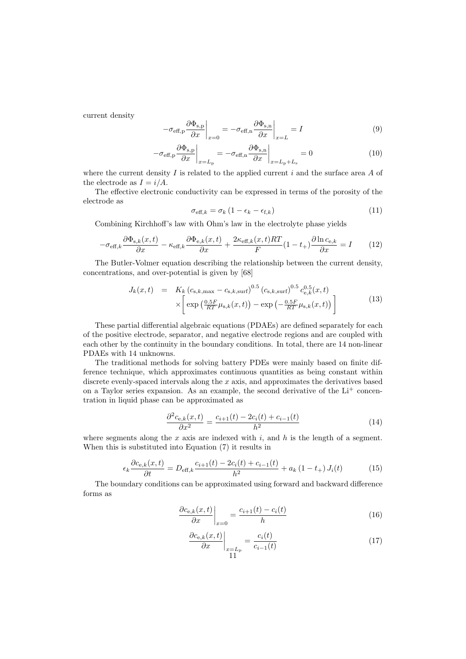current density

$$
-\sigma_{\text{eff,p}} \frac{\partial \Phi_{\text{s,p}}}{\partial x} \bigg|_{x=0} = -\sigma_{\text{eff,n}} \frac{\partial \Phi_{\text{s,n}}}{\partial x} \bigg|_{x=L} = I \tag{9}
$$

$$
-\sigma_{\text{eff,p}} \frac{\partial \Phi_{\text{s,p}}}{\partial x}\bigg|_{x=L_{\text{p}}} = -\sigma_{\text{eff,n}} \frac{\partial \Phi_{\text{s,n}}}{\partial x}\bigg|_{x=L_{\text{p}}+L_{\text{s}}} = 0 \tag{10}
$$

where the current density I is related to the applied current  $i$  and the surface area A of the electrode as  $I = i/A$ .

The effective electronic conductivity can be expressed in terms of the porosity of the electrode as

$$
\sigma_{\text{eff},k} = \sigma_k \left( 1 - \epsilon_k - \epsilon_{\text{f},k} \right) \tag{11}
$$

Combining Kirchhoff's law with Ohm's law in the electrolyte phase yields

$$
-\sigma_{\text{eff},k}\frac{\partial \Phi_{\text{s},k}(x,t)}{\partial x} - \kappa_{\text{eff},k}\frac{\partial \Phi_{\text{e},k}(x,t)}{\partial x} + \frac{2\kappa_{\text{eff},k}(x,t)RT}{F}(1-t_+)\frac{\partial \ln c_{\text{e},k}}{\partial x} = I \tag{12}
$$

The Butler-Volmer equation describing the relationship between the current density, concentrations, and over-potential is given by [68]

$$
J_k(x,t) = K_k (c_{s,k,\max} - c_{s,k,\text{surf}})^{0.5} (c_{s,k,\text{surf}})^{0.5} c_{e,k}^{0.5}(x,t)
$$

$$
\times \left[ \exp \left( \frac{0.5F}{RT} \mu_{s,k}(x,t) \right) - \exp \left( - \frac{0.5F}{RT} \mu_{s,k}(x,t) \right) \right]
$$
(13)

These partial differential algebraic equations (PDAEs) are defined separately for each of the positive electrode, separator, and negative electrode regions and are coupled with each other by the continuity in the boundary conditions. In total, there are 14 non-linear PDAEs with 14 unknowns.

The traditional methods for solving battery PDEs were mainly based on finite difference technique, which approximates continuous quantities as being constant within discrete evenly-spaced intervals along the x axis, and approximates the derivatives based on a Taylor series expansion. As an example, the second derivative of the  $Li<sup>+</sup>$  concentration in liquid phase can be approximated as

$$
\frac{\partial^2 c_{e,k}(x,t)}{\partial x^2} = \frac{c_{i+1}(t) - 2c_i(t) + c_{i-1}(t)}{h^2}
$$
\n(14)

where segments along the  $x$  axis are indexed with  $i$ , and  $h$  is the length of a segment. When this is substituted into Equation (7) it results in

$$
\epsilon_k \frac{\partial c_{e,k}(x,t)}{\partial t} = D_{\text{eff},k} \frac{c_{i+1}(t) - 2c_i(t) + c_{i-1}(t)}{h^2} + a_k (1 - t_+) J_i(t) \tag{15}
$$

The boundary conditions can be approximated using forward and backward difference forms as

$$
\left. \frac{\partial c_{\mathbf{e},k}(x,t)}{\partial x} \right|_{x=0} = \frac{c_{i+1}(t) - c_i(t)}{h} \tag{16}
$$

$$
\left. \frac{\partial c_{\mathbf{e},k}(x,t)}{\partial x} \right|_{\substack{x=L_{\mathbf{p}} \\ 11}} = \frac{c_i(t)}{c_{i-1}(t)} \tag{17}
$$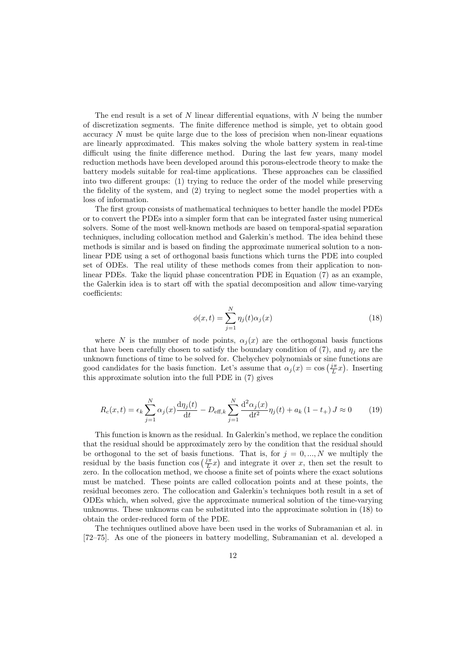The end result is a set of  $N$  linear differential equations, with  $N$  being the number of discretization segments. The finite difference method is simple, yet to obtain good accuracy  $N$  must be quite large due to the loss of precision when non-linear equations are linearly approximated. This makes solving the whole battery system in real-time difficult using the finite difference method. During the last few years, many model reduction methods have been developed around this porous-electrode theory to make the battery models suitable for real-time applications. These approaches can be classified into two different groups: (1) trying to reduce the order of the model while preserving the fidelity of the system, and (2) trying to neglect some the model properties with a loss of information.

The first group consists of mathematical techniques to better handle the model PDEs or to convert the PDEs into a simpler form that can be integrated faster using numerical solvers. Some of the most well-known methods are based on temporal-spatial separation techniques, including collocation method and Galerkin's method. The idea behind these methods is similar and is based on finding the approximate numerical solution to a nonlinear PDE using a set of orthogonal basis functions which turns the PDE into coupled set of ODEs. The real utility of these methods comes from their application to nonlinear PDEs. Take the liquid phase concentration PDE in Equation (7) as an example, the Galerkin idea is to start off with the spatial decomposition and allow time-varying coefficients:

$$
\phi(x,t) = \sum_{j=1}^{N} \eta_j(t)\alpha_j(x) \tag{18}
$$

where N is the number of node points,  $\alpha_i(x)$  are the orthogonal basis functions that have been carefully chosen to satisfy the boundary condition of (7), and  $\eta_i$  are the unknown functions of time to be solved for. Chebychev polynomials or sine functions are good candidates for the basis function. Let's assume that  $\alpha_j(x) = \cos(\frac{j\pi}{L}x)$ . Inserting this approximate solution into the full PDE in (7) gives

$$
R_c(x,t) = \epsilon_k \sum_{j=1}^{N} \alpha_j(x) \frac{d\eta_j(t)}{dt} - D_{\text{eff},k} \sum_{j=1}^{N} \frac{d^2 \alpha_j(x)}{dt^2} \eta_j(t) + a_k (1 - t_+) J \approx 0 \tag{19}
$$

This function is known as the residual. In Galerkin's method, we replace the condition that the residual should be approximately zero by the condition that the residual should be orthogonal to the set of basis functions. That is, for  $j = 0, ..., N$  we multiply the residual by the basis function  $\cos\left(\frac{j\pi}{L}x\right)$  and integrate it over x, then set the result to zero. In the collocation method, we choose a finite set of points where the exact solutions must be matched. These points are called collocation points and at these points, the residual becomes zero. The collocation and Galerkin's techniques both result in a set of ODEs which, when solved, give the approximate numerical solution of the time-varying unknowns. These unknowns can be substituted into the approximate solution in (18) to obtain the order-reduced form of the PDE.

The techniques outlined above have been used in the works of Subramanian et al. in [72–75]. As one of the pioneers in battery modelling, Subramanian et al. developed a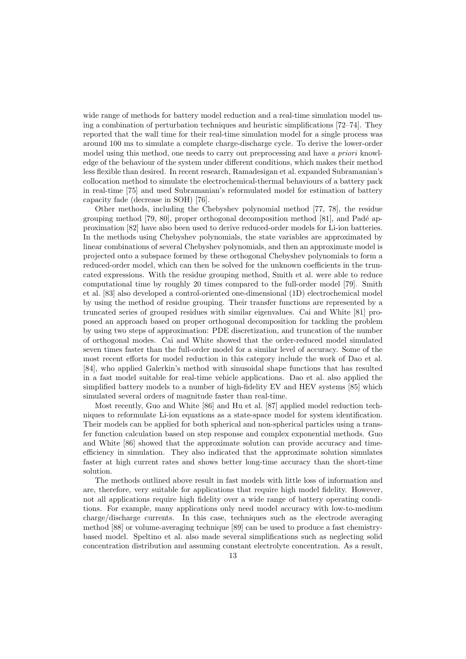wide range of methods for battery model reduction and a real-time simulation model using a combination of perturbation techniques and heuristic simplifications [72–74]. They reported that the wall time for their real-time simulation model for a single process was around 100 ms to simulate a complete charge-discharge cycle. To derive the lower-order model using this method, one needs to carry out preprocessing and have a priori knowledge of the behaviour of the system under different conditions, which makes their method less flexible than desired. In recent research, Ramadesigan et al. expanded Subramanian's collocation method to simulate the electrochemical-thermal behaviours of a battery pack in real-time [75] and used Subramanian's reformulated model for estimation of battery capacity fade (decrease in SOH) [76].

Other methods, including the Chebyshev polynomial method [77, 78], the residue grouping method  $[79, 80]$ , proper orthogonal decomposition method  $[81]$ , and Padé approximation [82] have also been used to derive reduced-order models for Li-ion batteries. In the methods using Chebyshev polynomials, the state variables are approximated by linear combinations of several Chebyshev polynomials, and then an approximate model is projected onto a subspace formed by these orthogonal Chebyshev polynomials to form a reduced-order model, which can then be solved for the unknown coefficients in the truncated expressions. With the residue grouping method, Smith et al. were able to reduce computational time by roughly 20 times compared to the full-order model [79]. Smith et al. [83] also developed a control-oriented one-dimensional (1D) electrochemical model by using the method of residue grouping. Their transfer functions are represented by a truncated series of grouped residues with similar eigenvalues. Cai and White [81] proposed an approach based on proper orthogonal decomposition for tackling the problem by using two steps of approximation: PDE discretization, and truncation of the number of orthogonal modes. Cai and White showed that the order-reduced model simulated seven times faster than the full-order model for a similar level of accuracy. Some of the most recent efforts for model reduction in this category include the work of Dao et al. [84], who applied Galerkin's method with sinusoidal shape functions that has resulted in a fast model suitable for real-time vehicle applications. Dao et al. also applied the simplified battery models to a number of high-fidelity EV and HEV systems [85] which simulated several orders of magnitude faster than real-time.

Most recently, Guo and White [86] and Hu et al. [87] applied model reduction techniques to reformulate Li-ion equations as a state-space model for system identification. Their models can be applied for both spherical and non-spherical particles using a transfer function calculation based on step response and complex exponential methods. Guo and White [86] showed that the approximate solution can provide accuracy and timeefficiency in simulation. They also indicated that the approximate solution simulates faster at high current rates and shows better long-time accuracy than the short-time solution.

The methods outlined above result in fast models with little loss of information and are, therefore, very suitable for applications that require high model fidelity. However, not all applications require high fidelity over a wide range of battery operating conditions. For example, many applications only need model accuracy with low-to-medium charge/discharge currents. In this case, techniques such as the electrode averaging method [88] or volume-averaging technique [89] can be used to produce a fast chemistrybased model. Speltino et al. also made several simplifications such as neglecting solid concentration distribution and assuming constant electrolyte concentration. As a result,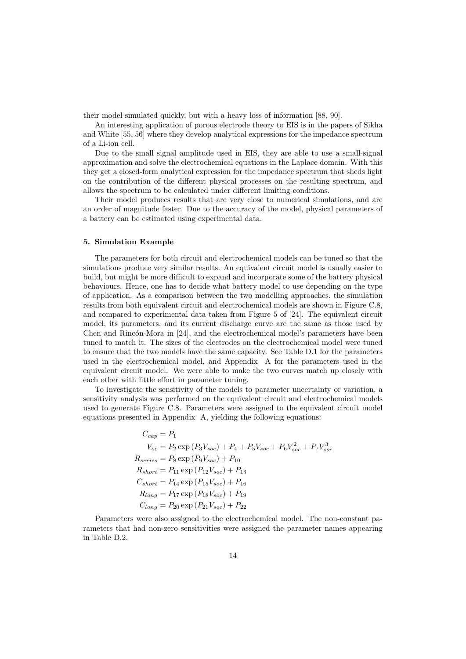their model simulated quickly, but with a heavy loss of information [88, 90].

An interesting application of porous electrode theory to EIS is in the papers of Sikha and White [55, 56] where they develop analytical expressions for the impedance spectrum of a Li-ion cell.

Due to the small signal amplitude used in EIS, they are able to use a small-signal approximation and solve the electrochemical equations in the Laplace domain. With this they get a closed-form analytical expression for the impedance spectrum that sheds light on the contribution of the different physical processes on the resulting spectrum, and allows the spectrum to be calculated under different limiting conditions.

Their model produces results that are very close to numerical simulations, and are an order of magnitude faster. Due to the accuracy of the model, physical parameters of a battery can be estimated using experimental data.

#### 5. Simulation Example

The parameters for both circuit and electrochemical models can be tuned so that the simulations produce very similar results. An equivalent circuit model is usually easier to build, but might be more difficult to expand and incorporate some of the battery physical behaviours. Hence, one has to decide what battery model to use depending on the type of application. As a comparison between the two modelling approaches, the simulation results from both equivalent circuit and electrochemical models are shown in Figure C.8, and compared to experimental data taken from Figure 5 of [24]. The equivalent circuit model, its parameters, and its current discharge curve are the same as those used by Chen and Rincón-Mora in [24], and the electrochemical model's parameters have been tuned to match it. The sizes of the electrodes on the electrochemical model were tuned to ensure that the two models have the same capacity. See Table D.1 for the parameters used in the electrochemical model, and Appendix A for the parameters used in the equivalent circuit model. We were able to make the two curves match up closely with each other with little effort in parameter tuning.

To investigate the sensitivity of the models to parameter uncertainty or variation, a sensitivity analysis was performed on the equivalent circuit and electrochemical models used to generate Figure C.8. Parameters were assigned to the equivalent circuit model equations presented in Appendix A, yielding the following equations:

$$
C_{cap} = P_1
$$
  
\n
$$
V_{oc} = P_2 \exp (P_3 V_{soc}) + P_4 + P_5 V_{soc} + P_6 V_{soc}^2 + P_7 V_{soc}^3
$$
  
\n
$$
R_{series} = P_8 \exp (P_9 V_{soc}) + P_{10}
$$
  
\n
$$
R_{short} = P_{11} \exp (P_{12} V_{soc}) + P_{13}
$$
  
\n
$$
C_{short} = P_{14} \exp (P_{15} V_{soc}) + P_{16}
$$
  
\n
$$
R_{long} = P_{17} \exp (P_{18} V_{soc}) + P_{19}
$$
  
\n
$$
C_{long} = P_{20} \exp (P_{21} V_{soc}) + P_{22}
$$

Parameters were also assigned to the electrochemical model. The non-constant parameters that had non-zero sensitivities were assigned the parameter names appearing in Table D.2.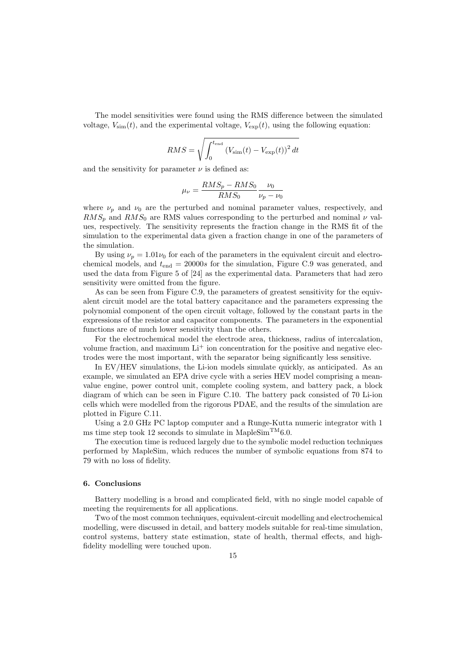The model sensitivities were found using the RMS difference between the simulated voltage,  $V_{\text{sim}}(t)$ , and the experimental voltage,  $V_{\text{exp}}(t)$ , using the following equation:

$$
RMS = \sqrt{\int_0^{t_{\text{end}}} (V_{\text{sim}}(t) - V_{\text{exp}}(t))^2 dt}
$$

and the sensitivity for parameter  $\nu$  is defined as:

$$
\mu_{\nu} = \frac{RMS_p - RMS_0}{RMS_0} \frac{\nu_0}{\nu_p - \nu_0}
$$

where  $\nu_p$  and  $\nu_0$  are the perturbed and nominal parameter values, respectively, and  $RMS_p$  and  $RMS_0$  are RMS values corresponding to the perturbed and nominal  $\nu$  values, respectively. The sensitivity represents the fraction change in the RMS fit of the simulation to the experimental data given a fraction change in one of the parameters of the simulation.

By using  $\nu_p = 1.01\nu_0$  for each of the parameters in the equivalent circuit and electrochemical models, and  $t_{\text{end}} = 20000s$  for the simulation, Figure C.9 was generated, and used the data from Figure 5 of [24] as the experimental data. Parameters that had zero sensitivity were omitted from the figure.

As can be seen from Figure C.9, the parameters of greatest sensitivity for the equivalent circuit model are the total battery capacitance and the parameters expressing the polynomial component of the open circuit voltage, followed by the constant parts in the expressions of the resistor and capacitor components. The parameters in the exponential functions are of much lower sensitivity than the others.

For the electrochemical model the electrode area, thickness, radius of intercalation, volume fraction, and maximum  $Li^+$  ion concentration for the positive and negative electrodes were the most important, with the separator being significantly less sensitive.

In EV/HEV simulations, the Li-ion models simulate quickly, as anticipated. As an example, we simulated an EPA drive cycle with a series HEV model comprising a meanvalue engine, power control unit, complete cooling system, and battery pack, a block diagram of which can be seen in Figure C.10. The battery pack consisted of 70 Li-ion cells which were modelled from the rigorous PDAE, and the results of the simulation are plotted in Figure C.11.

Using a 2.0 GHz PC laptop computer and a Runge-Kutta numeric integrator with 1 ms time step took 12 seconds to simulate in MapleSim<sup>TM</sup>6.0.

The execution time is reduced largely due to the symbolic model reduction techniques performed by MapleSim, which reduces the number of symbolic equations from 874 to 79 with no loss of fidelity.

# 6. Conclusions

Battery modelling is a broad and complicated field, with no single model capable of meeting the requirements for all applications.

Two of the most common techniques, equivalent-circuit modelling and electrochemical modelling, were discussed in detail, and battery models suitable for real-time simulation, control systems, battery state estimation, state of health, thermal effects, and highfidelity modelling were touched upon.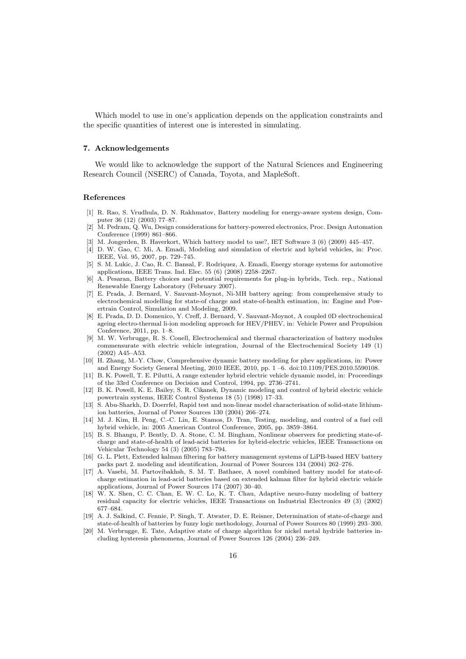Which model to use in one's application depends on the application constraints and the specific quantities of interest one is interested in simulating.

#### 7. Acknowledgements

We would like to acknowledge the support of the Natural Sciences and Engineering Research Council (NSERC) of Canada, Toyota, and MapleSoft.

#### References

- [1] R. Rao, S. Vrudhula, D. N. Rakhmatov, Battery modeling for energy-aware system design, Computer 36 (12) (2003) 77–87.
- [2] M. Pedram, Q. Wu, Design considerations for battery-powered electronics, Proc. Design Automation Conference (1999) 861–866.
- [3] M. Jongerden, B. Haverkort, Which battery model to use?, IET Software 3 (6) (2009) 445–457.
- [4] D. W. Gao, C. Mi, A. Emadi, Modeling and simulation of electric and hybrid vehicles, in: Proc. IEEE, Vol. 95, 2007, pp. 729–745.
- [5] S. M. Lukic, J. Cao, R. C. Bansal, F. Rodriquez, A. Emadi, Energy storage systems for automotive applications, IEEE Trans. Ind. Elec. 55 (6) (2008) 2258–2267.
- [6] A. Pesaran, Battery choices and potential requirements for plug-in hybrids, Tech. rep., National Renewable Energy Laboratory (February 2007).
- [7] E. Prada, J. Bernard, V. Sauvant-Moynot, Ni-MH battery ageing: from comprehensive study to electrochemical modelling for state-of charge and state-of-health estimation, in: Engine and Powertrain Control, Simulation and Modeling, 2009.
- [8] E. Prada, D. D. Domenico, Y. Creff, J. Bernard, V. Sauvant-Moynot, A coupled 0D electrochemical ageing electro-thermal li-ion modeling approach for HEV/PHEV, in: Vehicle Power and Propulsion Conference, 2011, pp. 1–8.
- [9] M. W. Verbrugge, R. S. Conell, Electrochemical and thermal characterization of battery modules commensurate with electric vehicle integration, Journal of the Electrochemical Society 149 (1) (2002) A45–A53.
- [10] H. Zhang, M.-Y. Chow, Comprehensive dynamic battery modeling for phev applications, in: Power and Energy Society General Meeting, 2010 IEEE, 2010, pp. 1 –6. doi:10.1109/PES.2010.5590108.
- [11] B. K. Powell, T. E. Pilutti, A range extender hybrid electric vehicle dynamic model, in: Proceedings of the 33rd Conference on Decision and Control, 1994, pp. 2736–2741.
- [12] B. K. Powell, K. E. Bailey, S. R. Cikanek, Dynamic modeling and control of hybrid electric vehicle powertrain systems, IEEE Control Systems 18 (5) (1998) 17–33.
- [13] S. Abu-Sharkh, D. Doerrfel, Rapid test and non-linear model characterisation of solid-state lithiumion batteries, Journal of Power Sources 130 (2004) 266–274.
- [14] M. J. Kim, H. Peng, C.-C. Lin, E. Stamos, D. Tran, Testing, modeling, and control of a fuel cell hybrid vehicle, in: 2005 American Control Conference, 2005, pp. 3859–3864.
- [15] B. S. Bhangu, P. Bently, D. A. Stone, C. M. Bingham, Nonlinear observers for predicting state-ofcharge and state-of-health of lead-acid batteries for hybrid-electric vehicles, IEEE Transactions on Vehicular Technology 54 (3) (2005) 783–794.
- [16] G. L. Plett, Extended kalman filtering for battery management systems of LiPB-based HEV battery packs part 2. modeling and identification, Journal of Power Sources 134 (2004) 262–276.
- [17] A. Vasebi, M. Partovibakhsh, S. M. T. Bathaee, A novel combined battery model for state-ofcharge estimation in lead-acid batteries based on extended kalman filter for hybrid electric vehicle applications, Journal of Power Sources 174 (2007) 30–40.
- [18] W. X. Shen, C. C. Chan, E. W. C. Lo, K. T. Chau, Adaptive neuro-fuzzy modeling of battery residual capacity for electric vehicles, IEEE Transactions on Industrial Electronics 49 (3) (2002) 677–684.
- [19] A. J. Salkind, C. Fennie, P. Singh, T. Atwater, D. E. Reisner, Determination of state-of-charge and state-of-health of batteries by fuzzy logic methodology, Journal of Power Sources 80 (1999) 293–300.
- [20] M. Verbrugge, E. Tate, Adaptive state of charge algorithm for nickel metal hydride batteries including hysteresis phenomena, Journal of Power Sources 126 (2004) 236–249.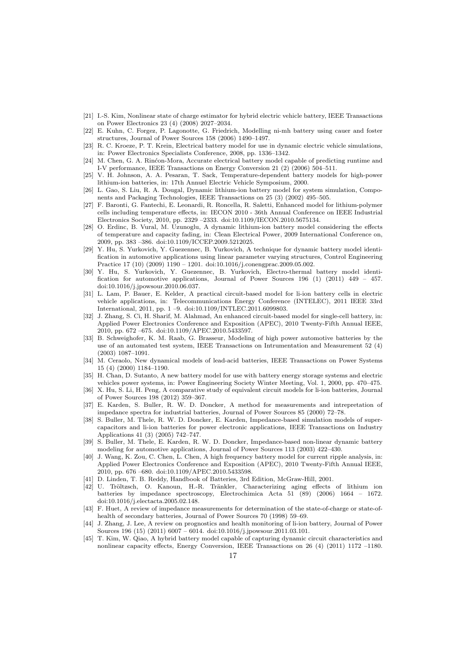- [21] I.-S. Kim, Nonlinear state of charge estimator for hybrid electric vehicle battery, IEEE Transactions on Power Electronics 23 (4) (2008) 2027–2034.
- [22] E. Kuhn, C. Forgez, P. Lagonotte, G. Friedrich, Modelling ni-mh battery using cauer and foster structures, Journal of Power Sources 158 (2006) 1490–1497.
- [23] R. C. Kroeze, P. T. Krein, Electrical battery model for use in dynamic electric vehicle simulations, in: Power Electronics Specialists Conference, 2008, pp. 1336–1342.
- [24] M. Chen, G. A. Rincon-Mora, Accurate electrical battery model capable of predicting runtime and I-V performance, IEEE Transactions on Energy Conversion 21 (2) (2006) 504–511.
- [25] V. H. Johnson, A. A. Pesaran, T. Sack, Temperature-dependent battery models for high-power lithium-ion batteries, in: 17th Annuel Electric Vehicle Symposium, 2000.
- [26] L. Gao, S. Liu, R. A. Dougal, Dynamic lithium-ion battery model for system simulation, Components and Packaging Technologies, IEEE Transactions on 25 (3) (2002) 495–505.
- [27] F. Baronti, G. Fantechi, E. Leonardi, R. Roncella, R. Saletti, Enhanced model for lithium-polymer cells including temperature effects, in: IECON 2010 - 36th Annual Conference on IEEE Industrial Electronics Society, 2010, pp. 2329 –2333. doi:10.1109/IECON.2010.5675134.
- [28] O. Erdinc, B. Vural, M. Uzunoglu, A dynamic lithium-ion battery model considering the effects of temperature and capacity fading, in: Clean Electrical Power, 2009 International Conference on, 2009, pp. 383 –386. doi:10.1109/ICCEP.2009.5212025.
- [29] Y. Hu, S. Yurkovich, Y. Guezennec, B. Yurkovich, A technique for dynamic battery model identification in automotive applications using linear parameter varying structures, Control Engineering Practice 17 (10) (2009) 1190 – 1201. doi:10.1016/j.conengprac.2009.05.002.
- [30] Y. Hu, S. Yurkovich, Y. Guezennec, B. Yurkovich, Electro-thermal battery model identification for automotive applications, Journal of Power Sources 196 (1) (2011) 449 – 457. doi:10.1016/j.jpowsour.2010.06.037.
- [31] L. Lam, P. Bauer, E. Kelder, A practical circuit-based model for li-ion battery cells in electric vehicle applications, in: Telecommunications Energy Conference (INTELEC), 2011 IEEE 33rd International, 2011, pp. 1 –9. doi:10.1109/INTLEC.2011.6099803.
- [32] J. Zhang, S. Ci, H. Sharif, M. Alahmad, An enhanced circuit-based model for single-cell battery, in: Applied Power Electronics Conference and Exposition (APEC), 2010 Twenty-Fifth Annual IEEE, 2010, pp. 672 –675. doi:10.1109/APEC.2010.5433597.
- [33] B. Schweighofer, K. M. Raab, G. Brasseur, Modeling of high power automotive batteries by the use of an automated test system, IEEE Transactions on Intrumentation and Measurement 52 (4) (2003) 1087–1091.
- [34] M. Ceraolo, New dynamical models of lead-acid batteries, IEEE Transactions on Power Systems 15 (4) (2000) 1184–1190.
- [35] H. Chan, D. Sutanto, A new battery model for use with battery energy storage systems and electric vehicles power systems, in: Power Engineering Society Winter Meeting, Vol. 1, 2000, pp. 470–475.
- [36] X. Hu, S. Li, H. Peng, A comparative study of equivalent circuit models for li-ion batteries, Journal of Power Sources 198 (2012) 359–367.
- [37] E. Karden, S. Buller, R. W. D. Doncker, A method for measurements and intrepretation of impedance spectra for industrial batteries, Journal of Power Sources 85 (2000) 72–78.
- [38] S. Buller, M. Thele, R. W. D. Doncker, E. Karden, Impedance-based simulation models of supercapacitors and li-ion batteries for power electronic applications, IEEE Transactions on Industry Applications 41 (3) (2005) 742–747.
- [39] S. Buller, M. Thele, E. Karden, R. W. D. Doncker, Impedance-based non-linear dynamic battery modeling for automotive applications, Journal of Power Sources 113 (2003) 422–430.
- [40] J. Wang, K. Zou, C. Chen, L. Chen, A high frequency battery model for current ripple analysis, in: Applied Power Electronics Conference and Exposition (APEC), 2010 Twenty-Fifth Annual IEEE, 2010, pp. 676 –680. doi:10.1109/APEC.2010.5433598.
- [41] D. Linden, T. B. Reddy, Handbook of Batteries, 3rd Edition, McGraw-Hill, 2001.
- [42] U. Tröltzsch, O. Kanoun, H.-R. Tränkler, Characterizing aging effects of lithium ion batteries by impedance spectroscopy, Electrochimica Acta 51 (89) (2006) 1664 – 1672. doi:10.1016/j.electacta.2005.02.148.
- [43] F. Huet, A review of impedance measurements for determination of the state-of-charge or state-ofhealth of secondary batteries, Journal of Power Sources 70 (1998) 59–69.
- [44] J. Zhang, J. Lee, A review on prognostics and health monitoring of li-ion battery, Journal of Power Sources 196 (15) (2011) 6007 – 6014. doi:10.1016/j.jpowsour.2011.03.101.
- [45] T. Kim, W. Qiao, A hybrid battery model capable of capturing dynamic circuit characteristics and nonlinear capacity effects, Energy Conversion, IEEE Transactions on 26 (4) (2011) 1172 –1180.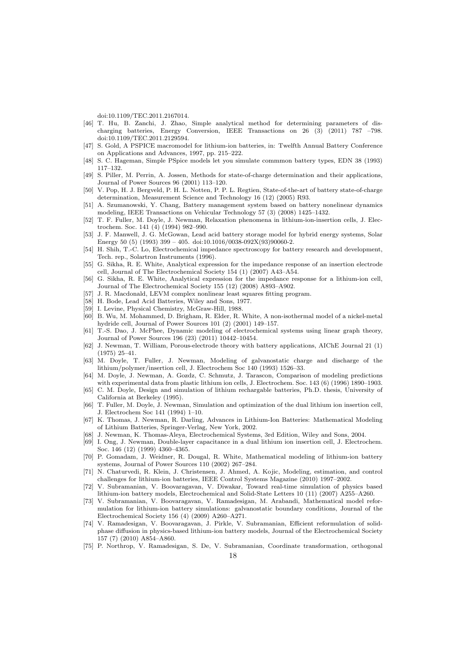doi:10.1109/TEC.2011.2167014.

- [46] T. Hu, B. Zanchi, J. Zhao, Simple analytical method for determining parameters of discharging batteries, Energy Conversion, IEEE Transactions on 26 (3) (2011) 787 –798. doi:10.1109/TEC.2011.2129594.
- [47] S. Gold, A PSPICE macromodel for lithium-ion batteries, in: Twelfth Annual Battery Conference on Applications and Advances, 1997, pp. 215–222.
- [48] S. C. Hageman, Simple PSpice models let you simulate commmon battery types, EDN 38 (1993) 117–132.
- [49] S. Piller, M. Perrin, A. Jossen, Methods for state-of-charge determination and their applications, Journal of Power Sources 96 (2001) 113–120.
- [50] V. Pop, H. J. Bergveld, P. H. L. Notten, P. P. L. Regtien, State-of-the-art of battery state-of-charge determination, Measurement Science and Technology 16 (12) (2005) R93.
- [51] A. Szumanowski, Y. Chang, Battery management system based on battery nonelinear dynamics modeling, IEEE Transactions on Vehicular Technology 57 (3) (2008) 1425–1432.
- [52] T. F. Fuller, M. Doyle, J. Newman, Relaxation phenomena in lithium-ion-insertion cells, J. Electrochem. Soc. 141 (4) (1994) 982–990.
- [53] J. F. Manwell, J. G. McGowan, Lead acid battery storage model for hybrid energy systems, Solar Energy 50 (5) (1993) 399 – 405. doi:10.1016/0038-092X(93)90060-2.
- [54] H. Shih, T.-C. Lo, Electrochemical impedance spectroscopy for battery research and development, Tech. rep., Solartron Instruments (1996).
- [55] G. Sikha, R. E. White, Analytical expression for the impedance response of an insertion electrode cell, Journal of The Electrochemical Society 154 (1) (2007) A43–A54.
- [56] G. Sikha, R. E. White, Analytical expression for the impedance response for a lithium-ion cell, Journal of The Electrochemical Society 155 (12) (2008) A893–A902.
- [57] J. R. Macdonald, LEVM complex nonlinear least squares fitting program.
- [58] H. Bode, Lead Acid Batteries, Wiley and Sons, 1977.
- [59] I. Levine, Physical Chemistry, McGraw-Hill, 1988.
- [60] B. Wu, M. Mohammed, D. Brigham, R. Elder, R. White, A non-isothermal model of a nickel-metal hydride cell, Journal of Power Sources 101 (2) (2001) 149–157.
- [61] T.-S. Dao, J. McPhee, Dynamic modeling of electrochemical systems using linear graph theory, Journal of Power Sources 196 (23) (2011) 10442–10454.
- [62] J. Newman, T. William, Porous-electrode theory with battery applications, AIChE Journal 21 (1) (1975) 25–41.
- [63] M. Doyle, T. Fuller, J. Newman, Modeling of galvanostatic charge and discharge of the lithium/polymer/insertion cell, J. Electrochem Soc 140 (1993) 1526–33.
- [64] M. Doyle, J. Newman, A. Gozdz, C. Schmutz, J. Tarascon, Comparison of modeling predictions with experimental data from plastic lithium ion cells, J. Electrochem. Soc. 143 (6) (1996) 1890–1903.
- [65] C. M. Doyle, Design and simulation of lithium rechargable batteries, Ph.D. thesis, University of California at Berkeley (1995).
- [66] T. Fuller, M. Doyle, J. Newman, Simulation and optimization of the dual lithium ion insertion cell, J. Electrochem Soc 141 (1994) 1–10.
- [67] K. Thomas, J. Newman, R. Darling, Advances in Lithium-Ion Batteries: Mathematical Modeling of Lithium Batteries, Springer-Verlag, New York, 2002.
- [68] J. Newman, K. Thomas-Aleya, Electrochemical Systems, 3rd Edition, Wiley and Sons, 2004.
- [69] I. Ong, J. Newman, Double-layer capacitance in a dual lithium ion insertion cell, J. Electrochem. Soc. 146 (12) (1999) 4360–4365.
- [70] P. Gomadam, J. Weidner, R. Dougal, R. White, Mathematical modeling of lithium-ion battery systems, Journal of Power Sources 110 (2002) 267–284.
- [71] N. Chaturvedi, R. Klein, J. Christensen, J. Ahmed, A. Kojic, Modeling, estimation, and control challenges for lithium-ion batteries, IEEE Control Systems Magazine (2010) 1997–2002.
- [72] V. Subramanian, V. Boovaragavan, V. Diwakar, Toward real-time simulation of physics based lithium-ion battery models, Electrochemical and Solid-State Letters 10 (11) (2007) A255–A260.
- [73] V. Subramanian, V. Boovaragavan, V. Ramadesigan, M. Arabandi, Mathematical model reformulation for lithium-ion battery simulations: galvanostatic boundary conditions, Journal of the Electrochemical Society 156 (4) (2009) A260–A271.
- [74] V. Ramadesigan, V. Boovaragavan, J. Pirkle, V. Subramanian, Efficient reformulation of solidphase diffusion in physics-based lithium-ion battery models, Journal of the Electrochemical Society 157 (7) (2010) A854–A860.
- [75] P. Northrop, V. Ramadesigan, S. De, V. Subramanian, Coordinate transformation, orthogonal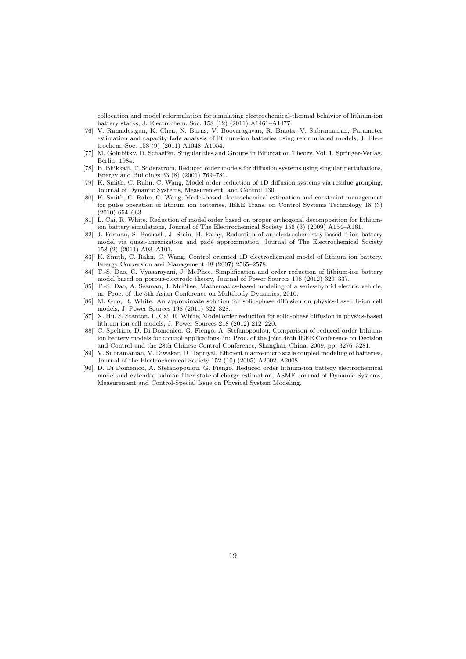collocation and model reformulation for simulating electrochemical-thermal behavior of lithium-ion battery stacks, J. Electrochem. Soc. 158 (12) (2011) A1461–A1477.

- [76] V. Ramadesigan, K. Chen, N. Burns, V. Boovaragavan, R. Braatz, V. Subramanian, Parameter estimation and capacity fade analysis of lithium-ion batteries using reformulated models, J. Electrochem. Soc. 158 (9) (2011) A1048–A1054.
- [77] M. Golubitky, D. Schaeffer, Singularities and Groups in Bifurcation Theory, Vol. 1, Springer-Verlag, Berlin, 1984.
- [78] B. Bhikkaji, T. Soderstrom, Reduced order models for diffusion systems using singular pertubations, Energy and Buildings 33 (8) (2001) 769–781.
- [79] K. Smith, C. Rahn, C. Wang, Model order reduction of 1D diffusion systems via residue grouping, Journal of Dynamic Systems, Measurement, and Control 130.
- [80] K. Smith, C. Rahn, C. Wang, Model-based electrochemical estimation and constraint management for pulse operation of lithium ion batteries, IEEE Trans. on Control Systems Technology 18 (3) (2010) 654–663.
- [81] L. Cai, R. White, Reduction of model order based on proper orthogonal decomposition for lithiumion battery simulations, Journal of The Electrochemical Society 156 (3) (2009) A154–A161.
- [82] J. Forman, S. Bashash, J. Stein, H. Fathy, Reduction of an electrochemistry-based li-ion battery model via quasi-linearization and padé approximation, Journal of The Electrochemical Society 158 (2) (2011) A93–A101.
- [83] K. Smith, C. Rahn, C. Wang, Control oriented 1D electrochemical model of lithium ion battery, Energy Conversion and Management 48 (2007) 2565–2578.
- [84] T.-S. Dao, C. Vyasarayani, J. McPhee, Simplification and order reduction of lithium-ion battery model based on porous-electrode theory, Journal of Power Sources 198 (2012) 329–337.
- [85] T.-S. Dao, A. Seaman, J. McPhee, Mathematics-based modeling of a series-hybrid electric vehicle, in: Proc. of the 5th Asian Conference on Multibody Dynamics, 2010.
- [86] M. Guo, R. White, An approximate solution for solid-phase diffusion on physics-based li-ion cell models, J. Power Sources 198 (2011) 322–328.
- [87] X. Hu, S. Stanton, L. Cai, R. White, Model order reduction for solid-phase diffusion in physics-based lithium ion cell models, J. Power Sources 218 (2012) 212–220.
- [88] C. Speltino, D. Di Domenico, G. Fiengo, A. Stefanopoulou, Comparison of reduced order lithiumion battery models for control applications, in: Proc. of the joint 48th IEEE Conference on Decision and Control and the 28th Chinese Control Conference, Shanghai, China, 2009, pp. 3276–3281.
- [89] V. Subramanian, V. Diwakar, D. Tapriyal, Efficient macro-micro scale coupled modeling of batteries, Journal of the Electrochemical Society 152 (10) (2005) A2002–A2008.
- [90] D. Di Domenico, A. Stefanopoulou, G. Fiengo, Reduced order lithium-ion battery electrochemical model and extended kalman filter state of charge estimation, ASME Journal of Dynamic Systems, Measurement and Control-Special Issue on Physical System Modeling.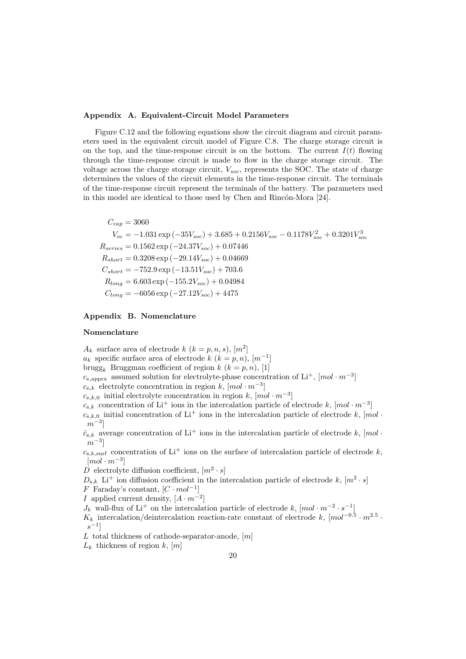#### Appendix A. Equivalent-Circuit Model Parameters

Figure C.12 and the following equations show the circuit diagram and circuit parameters used in the equivalent circuit model of Figure C.8. The charge storage circuit is on the top, and the time-response circuit is on the bottom. The current  $I(t)$  flowing through the time-response circuit is made to flow in the charge storage circuit. The voltage across the charge storage circuit,  $V_{soc}$ , represents the SOC. The state of charge determines the values of the circuit elements in the time-response circuit. The terminals of the time-response circuit represent the terminals of the battery. The parameters used in this model are identical to those used by Chen and Rincón-Mora [24].

 $C_{cap} = 3060$  $V_{oc} = -1.031 \exp(-35V_{soc}) + 3.685 + 0.2156V_{soc} - 0.1178V_{soc}^2 + 0.3201V_{soc}^3$  $R_{series} = 0.1562 \exp(-24.37V_{soc}) + 0.07446$  $R_{short} = 0.3208 \exp(-29.14 V_{soc}) + 0.04669$  $C_{short} = -752.9 \exp(-13.51 V_{soc}) + 703.6$  $R_{long} = 6.603 \exp(-155.2V_{soc}) + 0.04984$  $C_{long} = -6056 \exp(-27.12 V_{soc}) + 4475$ 

# Appendix B. Nomenclature

# Nomenclature

 $A_k$  surface area of electrode  $k$   $(k = p, n, s)$ ,  $[m^2]$  $a_k$  specific surface area of electrode k  $(k = p, n)$ ,  $[m^{-1}]$ brugg<sub>k</sub> Bruggman coefficient of region  $k$   $(k = p, n)$ , [1]  $c_{e, approx}$  assumed solution for electrolyte-phase concentration of Li<sup>+</sup>, [mol · m<sup>-3</sup>]  $c_{e,k}$  electrolyte concentration in region k,  $[mol \cdot m^{-3}]$  $c_{e,k,0}$  initial electrolyte concentration in region k,  $[mol \cdot m^{-3}]$  $c_{s,k}$  concentration of Li<sup>+</sup> ions in the intercalation particle of electrode k, [mol · m<sup>-3</sup>]  $c_{s,k,0}$  initial concentration of Li<sup>+</sup> ions in the intercalation particle of electrode k, [mol ·  $|m^{-3}|$  $\bar{c}_{s,k}$  average concentration of Li<sup>+</sup> ions in the intercalation particle of electrode k, [mol ·  $\left\lfloor m^{-3} \right\rfloor$ 

 $c_{s,k,\text{surf}}$  concentration of Li<sup>+</sup> ions on the surface of intercalation particle of electrode k,  $\lceil mol \cdot m^{-3} \rceil$ 

D electrolyte diffusion coefficient,  $[m^2 \cdot s]$ 

 $D_{s,k}$  Li<sup>+</sup> ion diffusion coefficient in the intercalation particle of electrode k,  $[m^2 \cdot s]$ 

F Faraday's constant,  $[C \cdot mol^{-1}]$ 

*I* applied current density,  $[A \cdot m^{-2}]$ 

 $J_k$  wall-flux of Li<sup>+</sup> on the intercalation particle of electrode k,  $[mol \cdot m^{-2} \cdot s^{-1}]$ 

 $K_k$  intercalation/deintercalation reaction-rate constant of electrode k,  $[mol^{-0.5} \cdot m^{2.5} \cdot$  $s^{-1}$ ]

L total thickness of cathode-separator-anode,  $[m]$ 

 $L_k$  thickness of region k, [m]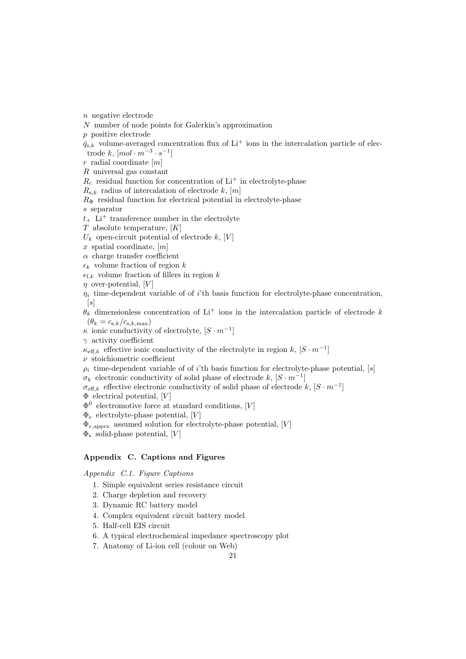n negative electrode

- N number of node points for Galerkin's approximation
- p positive electrode

 $\bar{q}_{s,k}$  volume-averaged concentration flux of Li<sup>+</sup> ions in the intercalation particle of electrode  $k, [mol \cdot m^{-3} \cdot s^{-1}]$ 

 $r$  radial coordinate  $[m]$ 

R universal gas constant

 $R_c$  residual function for concentration of  $Li^+$  in electrolyte-phase

 $R_{s,k}$  radius of intercalation of electrode k, [m]

 $R_{\Phi}$  residual function for electrical potential in electrolyte-phase s separator

 $t_{+}$  Li<sup>+</sup> transference number in the electrolyte

 $T$  absolute temperature,  $[K]$ 

 $U_k$  open-circuit potential of electrode k, [V]

 $x$  spatial coordinate,  $[m]$ 

 $\alpha$  charge transfer coefficient

 $\epsilon_k$  volume fraction of region k

 $\epsilon_{f,k}$  volume fraction of fillers in region k

 $\eta$  over-potential, [V]

 $\eta_i$  time-dependent variable of of *i*'th basis function for electrolyte-phase concentration,  $[s]$ 

 $\hat{\theta_k}$  dimensionless concentration of Li<sup>+</sup> ions in the intercalation particle of electrode k  $(\theta_k = c_{s,k}/c_{s,k,\text{max}})$ 

 $\kappa$  ionic conductivity of electrolyte,  $[S \cdot m^{-1}]$ 

 $\gamma$  activity coefficient

 $\kappa_{\text{eff},k}$  effective ionic conductivity of the electrolyte in region  $k, [S \cdot m^{-1}]$ 

 $\nu$  stoichiometric coefficient

 $\rho_i$  time-dependent variable of of i'th basis function for electrolyte-phase potential, [s]

 $\sigma_k$  electronic conductivity of solid phase of electrode k,  $[S \cdot m^{-1}]$ 

 $\sigma_{\text{eff},k}$  effective electronic conductivity of solid phase of electrode  $k, [S \cdot m^{-1}]$ 

 $\Phi$  electrical potential, [V]

 $\Phi^0$  electromotive force at standard conditions, [V]

 $\Phi_{\rm e}$  electrolyte-phase potential, [V]

 $\Phi_{e,\text{apprx}}$  assumed solution for electrolyte-phase potential, [V]

 $\Phi_{\rm s}$  solid-phase potential, [V]

# Appendix C. Captions and Figures

Appendix C.1. Figure Captions

- 1. Simple equivalent series resistance circuit
- 2. Charge depletion and recovery
- 3. Dynamic RC battery model
- 4. Complex equivalent circuit battery model
- 5. Half-cell EIS circuit

6. A typical electrochemical impedance spectroscopy plot

7. Anatomy of Li-ion cell (colour on Web)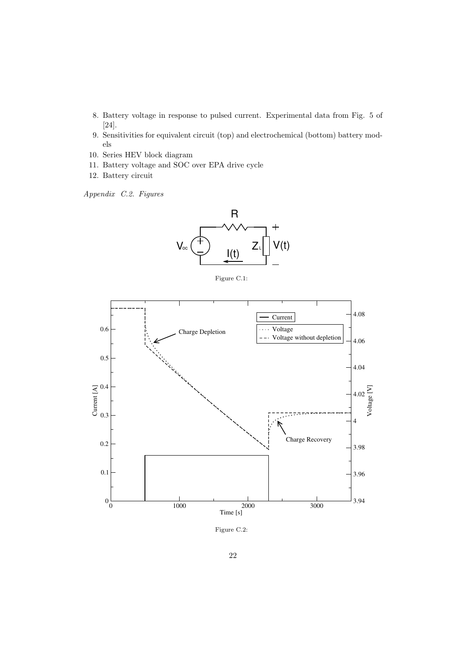- 8. Battery voltage in response to pulsed current. Experimental data from Fig. 5 of [24].
- 9. Sensitivities for equivalent circuit (top) and electrochemical (bottom) battery models
- 10. Series HEV block diagram
- 11. Battery voltage and SOC over EPA drive cycle
- 12. Battery circuit

Appendix C.2. Figures



Figure C.1:



Figure C.2: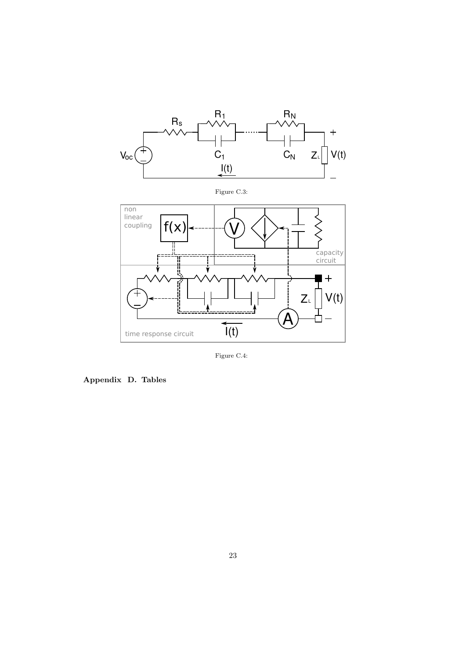

Figure C.4:

Appendix D. Tables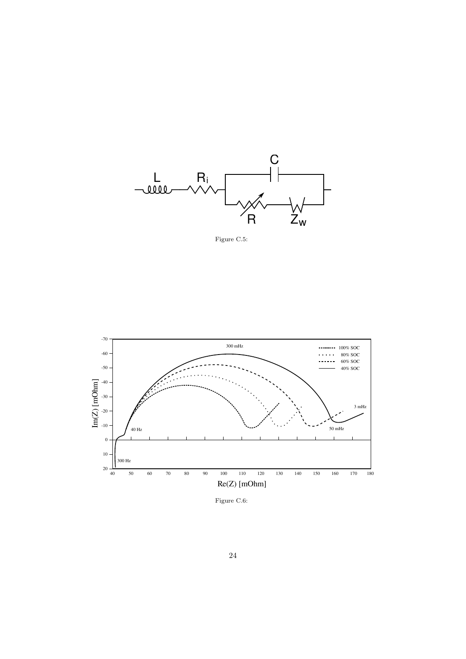

Figure C.5:



Figure C.6: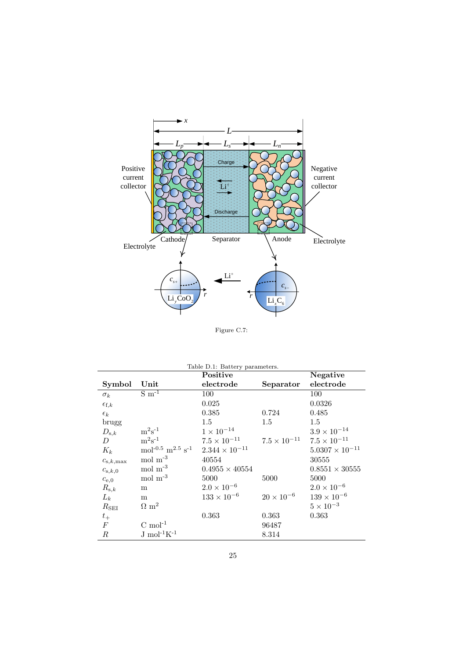

Figure C.7:

| Table D.1: Battery parameters. |                                                      |                         |                       |                          |  |  |  |
|--------------------------------|------------------------------------------------------|-------------------------|-----------------------|--------------------------|--|--|--|
|                                |                                                      | Positive                | <b>Negative</b>       |                          |  |  |  |
| Symbol                         | Unit                                                 | electrode               | Separator             | electrode                |  |  |  |
| $\sigma_k$                     | $\overline{\mathrm{S} \mathrm{m}^{\text{-}1}}$       | 100                     |                       | 100                      |  |  |  |
| $\epsilon_{\text{f},k}$        |                                                      | 0.025                   |                       | 0.0326                   |  |  |  |
| $\epsilon_k$                   |                                                      | 0.385                   | 0.724                 | 0.485                    |  |  |  |
| brugg                          |                                                      | 1.5                     | $1.5\,$               | 1.5                      |  |  |  |
| $D_{\mathrm{s},k}$             | $m^2s^{-1}$                                          | $1\times10^{-14}$       |                       | $3.9 \times 10^{-14}$    |  |  |  |
| D                              | $m^2s^{-1}$                                          | $7.5 \times 10^{-11}$   | $7.5 \times 10^{-11}$ | $7.5 \times 10^{-11}$    |  |  |  |
| $K_k$                          | mol <sup>-0.5</sup> m <sup>2.5</sup> s <sup>-1</sup> | $2.344 \times 10^{-11}$ |                       | $5.0307 \times 10^{-11}$ |  |  |  |
| $c_{s,k,\max}$                 | mol $m^{-3}$                                         | 40554                   |                       | 30555                    |  |  |  |
| $c_{s,k,0}$                    | $\rm{mol}~\rm{m}^{‐3}$                               | $0.4955 \times 40554$   |                       | $0.8551 \times 30555$    |  |  |  |
| $c_{e,0}$                      | $mol \; m^{-3}$                                      | 5000                    | 5000                  | 5000                     |  |  |  |
| $R_{\mathrm{s},k}$             | m                                                    | $2.0 \times 10^{-6}$    |                       | $2.0 \times 10^{-6}$     |  |  |  |
| $L_k$                          | m                                                    | $133 \times 10^{-6}$    | $20 \times 10^{-6}$   | $139 \times 10^{-6}$     |  |  |  |
| $R_{\rm SEI}$                  | $\Omega$ m <sup>2</sup>                              |                         |                       | $5\times10^{-3}$         |  |  |  |
| $t_{\rm +}$                    |                                                      | 0.363                   | 0.363                 | 0.363                    |  |  |  |
| $\cal F$                       | $C \text{ mol}^{-1}$                                 |                         | 96487                 |                          |  |  |  |
| $_{R}$                         | $J \text{ mol}^{-1}K^{-1}$                           |                         | 8.314                 |                          |  |  |  |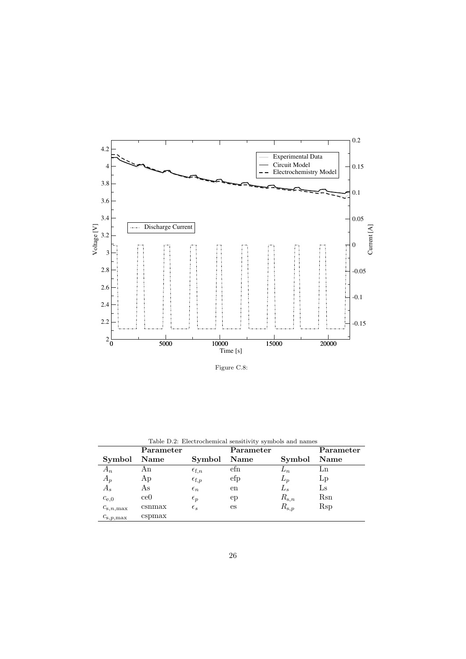

Figure C.8:

| Table D.2. Electrochemical sensitivity symbols and hanies |                 |                         |           |                    |           |  |  |  |
|-----------------------------------------------------------|-----------------|-------------------------|-----------|--------------------|-----------|--|--|--|
|                                                           | Parameter       |                         | Parameter |                    | Parameter |  |  |  |
| Symbol                                                    | Name            | Symbol                  | Name      | Symbol             | Name      |  |  |  |
| $A_n$                                                     | Αn              | $\epsilon_{\text{f},n}$ | efn       | $L_n$              | Ln        |  |  |  |
| $A_p$                                                     | Ap              | $\epsilon_{\text{f},p}$ | efp       | $L_p$              | Lp        |  |  |  |
| $A_{s}$                                                   | As              | $\epsilon_n$            | en        | $L_s$              | Ls        |  |  |  |
| $c_{e,0}$                                                 | ce <sub>0</sub> | $\epsilon_p$            | ep        | $R_{s,n}$          | Rsn       |  |  |  |
| $c_{s,n,\max}$                                            | csmmax          | $\epsilon_{s}$          | es        | $R_{\mathrm{s},p}$ | Rsp       |  |  |  |
| $c_{\mathrm{s},p,\mathrm{max}}$                           | cspmax          |                         |           |                    |           |  |  |  |

Table D.2: Electrochemical sensitivity symbols and names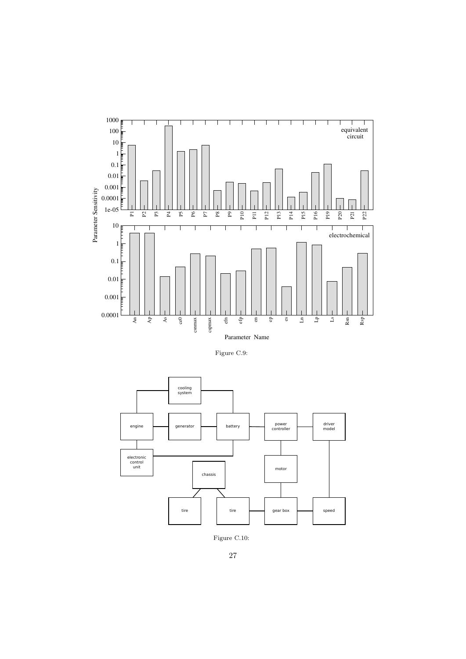

Figure C.9:



Figure C.10: